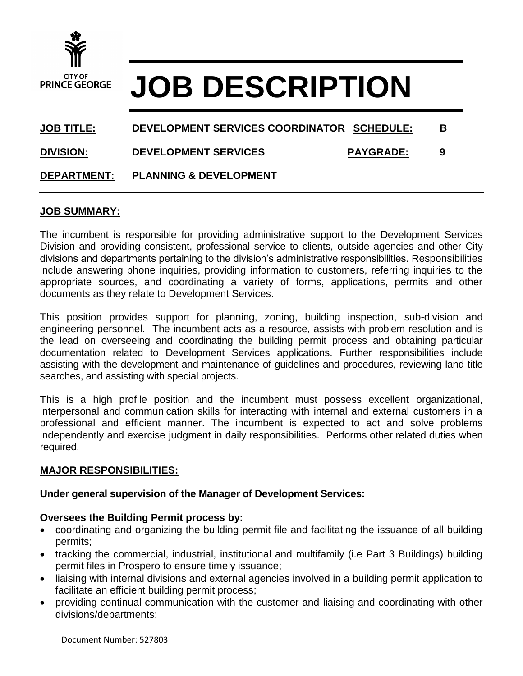

# **JOB DESCRIPTION**

# **JOB TITLE: DEVELOPMENT SERVICES COORDINATOR SCHEDULE: B DIVISION: DEVELOPMENT SERVICES PAYGRADE: 9**

## **DEPARTMENT: PLANNING & DEVELOPMENT**

### **JOB SUMMARY:**

The incumbent is responsible for providing administrative support to the Development Services Division and providing consistent, professional service to clients, outside agencies and other City divisions and departments pertaining to the division's administrative responsibilities. Responsibilities include answering phone inquiries, providing information to customers, referring inquiries to the appropriate sources, and coordinating a variety of forms, applications, permits and other documents as they relate to Development Services.

This position provides support for planning, zoning, building inspection, sub-division and engineering personnel. The incumbent acts as a resource, assists with problem resolution and is the lead on overseeing and coordinating the building permit process and obtaining particular documentation related to Development Services applications. Further responsibilities include assisting with the development and maintenance of guidelines and procedures, reviewing land title searches, and assisting with special projects.

This is a high profile position and the incumbent must possess excellent organizational, interpersonal and communication skills for interacting with internal and external customers in a professional and efficient manner. The incumbent is expected to act and solve problems independently and exercise judgment in daily responsibilities. Performs other related duties when required.

#### **MAJOR RESPONSIBILITIES:**

#### **Under general supervision of the Manager of Development Services:**

### **Oversees the Building Permit process by:**

- coordinating and organizing the building permit file and facilitating the issuance of all building permits;
- tracking the commercial, industrial, institutional and multifamily (i.e Part 3 Buildings) building permit files in Prospero to ensure timely issuance;
- liaising with internal divisions and external agencies involved in a building permit application to facilitate an efficient building permit process;
- providing continual communication with the customer and liaising and coordinating with other divisions/departments;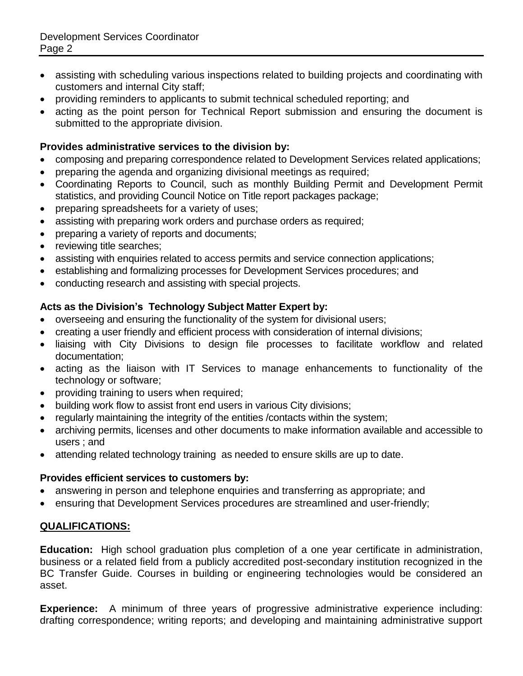- assisting with scheduling various inspections related to building projects and coordinating with customers and internal City staff;
- providing reminders to applicants to submit technical scheduled reporting; and
- acting as the point person for Technical Report submission and ensuring the document is submitted to the appropriate division.

# **Provides administrative services to the division by:**

- composing and preparing correspondence related to Development Services related applications;
- preparing the agenda and organizing divisional meetings as required;
- Coordinating Reports to Council, such as monthly Building Permit and Development Permit statistics, and providing Council Notice on Title report packages package;
- preparing spreadsheets for a variety of uses;
- assisting with preparing work orders and purchase orders as required;
- preparing a variety of reports and documents;
- reviewing title searches;
- assisting with enquiries related to access permits and service connection applications;
- establishing and formalizing processes for Development Services procedures; and
- conducting research and assisting with special projects.

### **Acts as the Division's Technology Subject Matter Expert by:**

- overseeing and ensuring the functionality of the system for divisional users;
- creating a user friendly and efficient process with consideration of internal divisions;
- liaising with City Divisions to design file processes to facilitate workflow and related documentation;
- acting as the liaison with IT Services to manage enhancements to functionality of the technology or software;
- providing training to users when required;
- building work flow to assist front end users in various City divisions;
- regularly maintaining the integrity of the entities /contacts within the system;
- archiving permits, licenses and other documents to make information available and accessible to users ; and
- attending related technology training as needed to ensure skills are up to date.

#### **Provides efficient services to customers by:**

- answering in person and telephone enquiries and transferring as appropriate; and
- ensuring that Development Services procedures are streamlined and user-friendly;

### **QUALIFICATIONS:**

**Education:** High school graduation plus completion of a one year certificate in administration, business or a related field from a publicly accredited post-secondary institution recognized in the BC Transfer Guide. Courses in building or engineering technologies would be considered an asset.

**Experience:** A minimum of three years of progressive administrative experience including: drafting correspondence; writing reports; and developing and maintaining administrative support